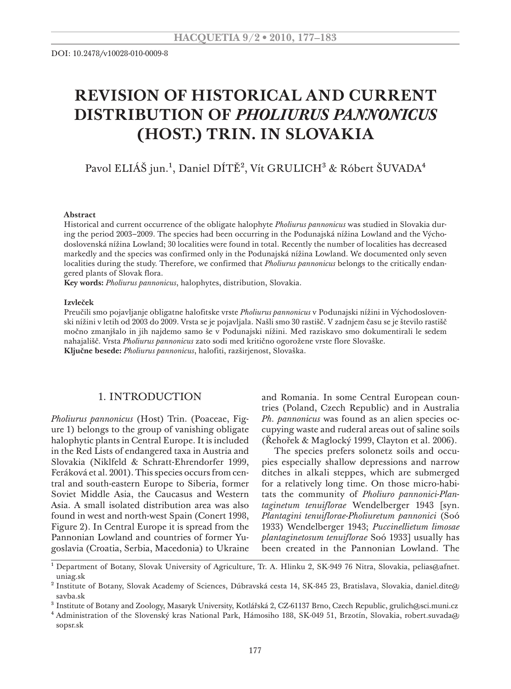# **Revision of historical and current distribution of** *Pholiurus pannonicus* **(Host.) Trin. in Slovakia**

Pavol ELIÁŠ jun.<sup>1</sup>, Daniel DÍTĚ<sup>2</sup>, Vít GRULICH<sup>3</sup> & Róbert ŠUVADA<sup>4</sup>

#### **Abstract**

Historical and current occurrence of the obligate halophyte *Pholiurus pannonicus* was studied in Slovakia during the period 2003–2009. The species had been occurring in the Podunajská nížina Lowland and the Východoslovenská nížina Lowland; 30 localities were found in total. Recently the number of localities has decreased markedly and the species was confirmed only in the Podunajská nížina Lowland. We documented only seven localities during the study. Therefore, we confirmed that *Pholiurus pannonicus* belongs to the critically endangered plants of Slovak flora.

**Key words:** *Pholiurus pannonicus*, halophytes, distribution, Slovakia.

#### **Izvleček**

Preučili smo pojavljanje obligatne halofitske vrste *Pholiurus pannonicus* v Podunajski nížini in Východoslovenski nížini v letih od 2003 do 2009. Vrsta se je pojavljala. Našli smo 30 rastišč. V zadnjem času se je število rastišč močno zmanjšalo in jih najdemo samo še v Podunajski nížini. Med raziskavo smo dokumentirali le sedem nahajališč. Vrsta *Pholiurus pannonicus* zato sodi med kritično ogorožene vrste flore Slovaške. **Ključne besede:** *Pholiurus pannonicus*, halofiti, razširjenost, Slovaška.

#### 1. INTRODUCTION

*Pholiurus pannonicus* (Host) Trin. (Poaceae, Figure 1) belongs to the group of vanishing obligate halophytic plants in Central Europe. It is included in the Red Lists of endangered taxa in Austria and Slovakia (Niklfeld & Schratt-Ehrendorfer 1999, Feráková et al. 2001). This species occurs from central and south-eastern Europe to Siberia, former Soviet Middle Asia, the Caucasus and Western Asia. A small isolated distribution area was also found in west and north-west Spain (Conert 1998, Figure 2). In Central Europe it is spread from the Pannonian Lowland and countries of former Yugoslavia (Croatia, Serbia, Macedonia) to Ukraine

and Romania. In some Central European countries (Poland, Czech Republic) and in Australia *Ph. pannonicus* was found as an alien species occupying waste and ruderal areas out of saline soils (Řehořek & Maglocký 1999, Clayton et al. 2006).

The species prefers solonetz soils and occupies especially shallow depressions and narrow ditches in alkali steppes, which are submerged for a relatively long time. On those micro-habitats the community of *Pholiuro pannonici-Plantaginetum tenuiflorae* Wendelberger 1943 [syn. *Plantagini tenuiflorae-Pholiuretum pannonici* (Soó 1933) Wendelberger 1943; *Puccinellietum limosae plantaginetosum tenuiflorae* Soó 1933] usually has been created in the Pannonian Lowland. The

<sup>&</sup>lt;sup>1</sup> Department of Botany, Slovak University of Agriculture, Tr. A. Hlinku 2, SK-949 76 Nitra, Slovakia, pelias@afnet. uniag.sk

<sup>&</sup>lt;sup>2</sup> Institute of Botany, Slovak Academy of Sciences, Dúbravská cesta 14, SK-845 23, Bratislava, Slovakia, daniel.dite@ savba.sk

<sup>&</sup>lt;sup>3</sup> Institute of Botany and Zoology, Masaryk University, Kotlářská 2, CZ-61137 Brno, Czech Republic, grulich@sci.muni.cz

<sup>4</sup> Administration of the Slovenský kras National Park, Hámosiho 188, SK-049 51, Brzotín, Slovakia, robert.suvada@ sopsr.sk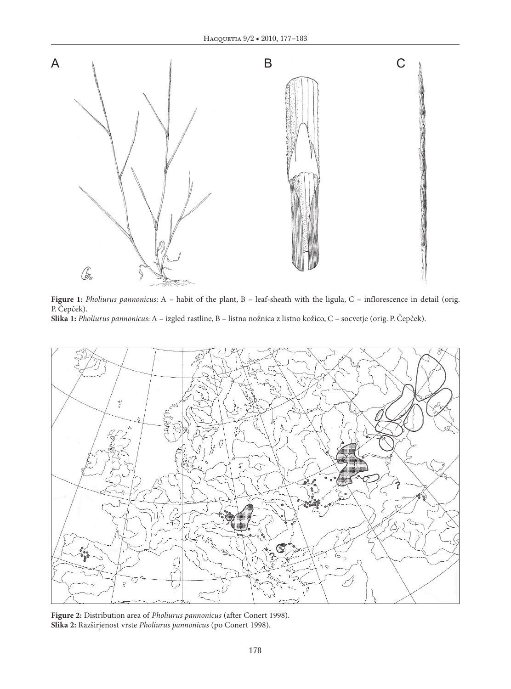

**Figure 1:** *Pholiurus pannonicus*: A – habit of the plant, B – leaf-sheath with the ligula, C – inflorescence in detail (orig. P. Čepček). **Slika 1:** *Pholiurus pannonicus*: A – izgled rastline, B – listna nožnica z listno kožico, C – socvetje (orig. P. Čepček).



**Figure 2:** Distribution area of *Pholiurus pannonicus* (after Conert 1998). **Slika 2:** Razširjenost vrste *Pholiurus pannonicus* (po Conert 1998).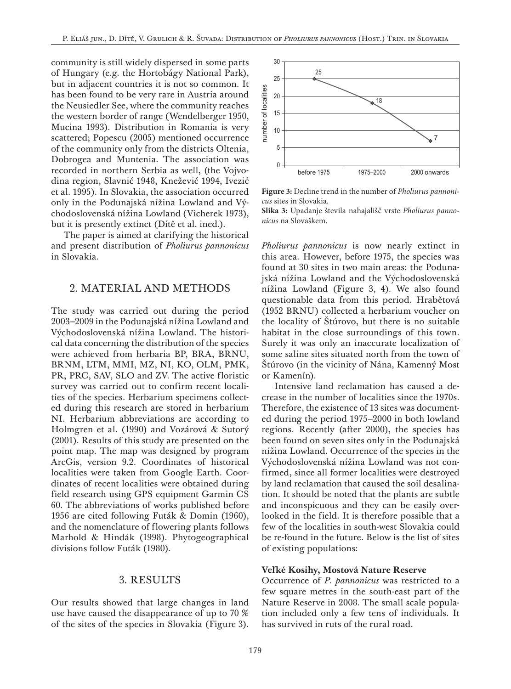community is still widely dispersed in some parts of Hungary (e.g. the Hortobágy National Park), but in adjacent countries it is not so common. It has been found to be very rare in Austria around the Neusiedler See, where the community reaches the western border of range (Wendelberger 1950, Mucina 1993). Distribution in Romania is very scattered; Popescu (2005) mentioned occurrence of the community only from the districts Oltenia, Dobrogea and Muntenia. The association was recorded in northern Serbia as well, (the Vojvodina region, Slavnić 1948, Knežević 1994, Ivezić et al. 1995). In Slovakia, the association occurred only in the Podunajská nížina Lowland and Východoslovenská nížina Lowland (Vicherek 1973), but it is presently extinct (Dítě et al. ined.).

The paper is aimed at clarifying the historical and present distribution of *Pholiurus pannonicus* in Slovakia.

## 2. Material and Methods

The study was carried out during the period 2003–2009 in the Podunajská nížina Lowland and Východoslovenská nížina Lowland. The historical data concerning the distribution of the species were achieved from herbaria BP, BRA, BRNU, BRNM, LTM, MMI, MZ, NI, KO, OLM, PMK, PR, PRC, SAV, SLO and ZV. The active floristic survey was carried out to confirm recent localities of the species. Herbarium specimens collected during this research are stored in herbarium NI. Herbarium abbreviations are according to Holmgren et al. (1990) and Vozárová & Sutorý (2001). Results of this study are presented on the point map. The map was designed by program ArcGis, version 9.2. Coordinates of historical localities were taken from Google Earth. Coordinates of recent localities were obtained during field research using GPS equipment Garmin CS 60. The abbreviations of works published before 1956 are cited following Futák & Domin (1960), and the nomenclature of flowering plants follows Marhold & Hindák (1998). Phytogeographical divisions follow Futák (1980).

## 3. Results

Our results showed that large changes in land use have caused the disappearance of up to 70 % of the sites of the species in Slovakia (Figure 3).



**Figure 3:** Decline trend in the number of *Pholiurus pannonicus* sites in Slovakia.

**Slika 3:** Upadanje števila nahajališč vrste *Pholiurus panno-*

*Pholiurus pannonicus* is now nearly extinct in this area*.* However, before 1975, the species was found at 30 sites in two main areas: the Podunajská nížina Lowland and the Východoslovenská nížina Lowland (Figure 3, 4). We also found questionable data from this period. Hrabětová (1952 BRNU) collected a herbarium voucher on the locality of Štúrovo, but there is no suitable habitat in the close surroundings of this town. Surely it was only an inaccurate localization of some saline sites situated north from the town of Stúrovo (in the vicinity of Nána, Kamenný Most or Kamenín).

Intensive land reclamation has caused a decrease in the number of localities since the 1970s. Therefore, the existence of 13 sites was documented during the period 1975–2000 in both lowland regions. Recently (after 2000), the species has been found on seven sites only in the Podunajská nížina Lowland. Occurrence of the species in the Východoslovenská nížina Lowland was not confirmed, since all former localities were destroyed by land reclamation that caused the soil desalination. It should be noted that the plants are subtle and inconspicuous and they can be easily overlooked in the field. It is therefore possible that a few of the localities in south-west Slovakia could be re-found in the future. Below is the list of sites of existing populations:

## **Veľké Kosihy, Mostová Nature Reserve**

Occurrence of *P. pannonicus* was restricted to a few square metres in the south-east part of the Nature Reserve in 2008. The small scale population included only a few tens of individuals. It has survived in ruts of the rural road.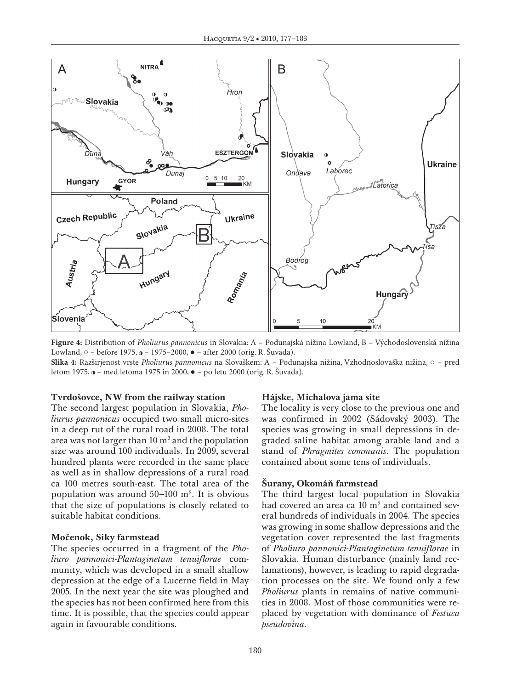

**Figure 4:** Distribution of *Pholiurus pannonicus* in Slovakia: A – Podunajská nížina Lowland, B – Východoslovenská nížina Lowland, ○ – before 1975, o – 1975–2000, ● – after 2000 (orig. R. Šuvada). **Slika 4:** Razširjenost vrste *Pholiurus pannonicus* na Slovaškem: A – Podunajska nižina, Vzhodnoslovaška nižina, ○ – pred

### **Tvrdošovce, NW from the railway station**

letom 1975, – med letoma 1975 in 2000, ● – po letu 2000 (orig. R. Šuvada).

The second largest population in Slovakia, *Pholiurus pannonicus* occupied two small micro-sites in a deep rut of the rural road in 2008. The total area was not larger than  $10 \text{ m}^2$  and the population size was around 100 individuals. In 2009, several hundred plants were recorded in the same place as well as in shallow depressions of a rural road ca 100 metres south-east. The total area of the population was around  $50-100$  m<sup>2</sup>. It is obvious that the size of populations is closely related to suitable habitat conditions.

#### **Močenok, Siky farmstead**

The species occurred in a fragment of the *Pholiuro pannonici-Plantaginetum tenuiflorae* community, which was developed in a small shallow depression at the edge of a Lucerne field in May 2005. In the next year the site was ploughed and the species has not been confirmed here from this time. It is possible, that the species could appear again in favourable conditions.

#### **Hájske, Michalova jama site**

The locality is very close to the previous one and was confirmed in 2002 (Sádovský 2003). The species was growing in small depressions in degraded saline habitat among arable land and a stand of *Phragmites communis*. The population contained about some tens of individuals.

#### **Šurany, Okomáň farmstead**

The third largest local population in Slovakia had covered an area ca  $10 \text{ m}^2$  and contained several hundreds of individuals in 2004. The species was growing in some shallow depressions and the vegetation cover represented the last fragments of *Pholiuro pannonici-Plantaginetum tenuiflorae* in Slovakia. Human disturbance (mainly land reclamations), however, is leading to rapid degradation processes on the site. We found only a few *Pholiurus* plants in remains of native communities in 2008. Most of those communities were replaced by vegetation with dominance of *Festuca pseudovina.*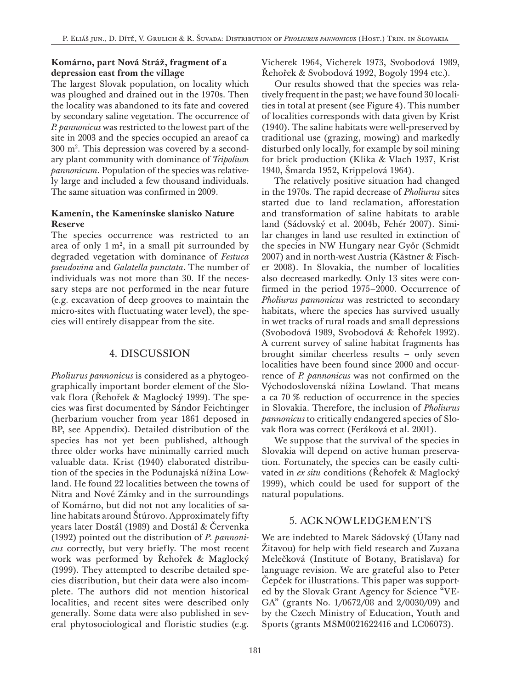# **Komárno, part Nová Stráž, fragment of a depression east from the village**

The largest Slovak population, on locality which was ploughed and drained out in the 1970s. Then the locality was abandoned to its fate and covered by secondary saline vegetation. The occurrence of *P. pannonicus* was restricted to the lowest part of the site in 2003 and the species occupied an areaof ca 300 m2 . This depression was covered by a secondary plant community with dominance of *Tripolium pannonicum*. Population of the species was relatively large and included a few thousand individuals. The same situation was confirmed in 2009.

# **Kamenín, the Kamenínske slanisko Nature Reserve**

The species occurrence was restricted to an area of only  $1 \text{ m}^2$ , in a small pit surrounded by degraded vegetation with dominance of *Festuca pseudovina* and *Galatella punctata*. The number of individuals was not more than 30. If the necessary steps are not performed in the near future (e.g. excavation of deep grooves to maintain the micro-sites with fluctuating water level), the species will entirely disappear from the site.

# 4. Discussion

*Pholiurus pannonicus* is considered as a phytogeographically important border element of the Slovak flora (Řehořek & Maglocký 1999). The species was first documented by Sándor Feichtinger (herbarium voucher from year 1861 deposed in BP, see Appendix). Detailed distribution of the species has not yet been published, although three older works have minimally carried much valuable data. Krist (1940) elaborated distribution of the species in the Podunajská nížina Lowland. He found 22 localities between the towns of Nitra and Nové Zámky and in the surroundings of Komárno, but did not not any localities of saline habitats around Štúrovo. Approximately fifty years later Dostál (1989) and Dostál & Červenka (1992) pointed out the distribution of *P. pannonicus* correctly, but very briefly. The most recent work was performed by Řehořek & Maglocký (1999). They attempted to describe detailed species distribution, but their data were also incomplete. The authors did not mention historical localities, and recent sites were described only generally. Some data were also published in several phytosociological and floristic studies (e.g.

Vicherek 1964, Vicherek 1973, Svobodová 1989, Řehořek & Svobodová 1992, Bogoly 1994 etc.).

Our results showed that the species was relatively frequent in the past; we have found 30 localities in total at present (see Figure 4). This number of localities corresponds with data given by Krist (1940). The saline habitats were well-preserved by traditional use (grazing, mowing) and markedly disturbed only locally, for example by soil mining for brick production (Klika & Vlach 1937, Krist 1940, Šmarda 1952, Krippelová 1964).

The relatively positive situation had changed in the 1970s. The rapid decrease of *Pholiurus* sites started due to land reclamation, afforestation and transformation of saline habitats to arable land (Sádovský et al. 2004b, Fehér 2007). Similar changes in land use resulted in extinction of the species in NW Hungary near Győr (Schmidt 2007) and in north-west Austria (Kästner & Fischer 2008). In Slovakia, the number of localities also decreased markedly. Only 13 sites were confirmed in the period 1975–2000. Occurrence of *Pholiurus pannonicus* was restricted to secondary habitats, where the species has survived usually in wet tracks of rural roads and small depressions (Svobodová 1989, Svobodová & Řehořek 1992). A current survey of saline habitat fragments has brought similar cheerless results – only seven localities have been found since 2000 and occurrence of *P. pannonicus* was not confirmed on the Východoslovenská nížina Lowland. That means a ca 70 % reduction of occurrence in the species in Slovakia. Therefore, the inclusion of *Pholiurus pannonicus* to critically endangered species of Slovak flora was correct (Feráková et al. 2001).

We suppose that the survival of the species in Slovakia will depend on active human preservation. Fortunately, the species can be easily cultivated in *ex situ* conditions (Řehořek & Maglocký 1999), which could be used for support of the natural populations.

# 5. Acknowledgements

We are indebted to Marek Sádovský (Úľany nad Žitavou) for help with field research and Zuzana Melečková (Institute of Botany, Bratislava) for language revision. We are grateful also to Peter Čepček for illustrations. This paper was supported by the Slovak Grant Agency for Science "VE-GA" (grants No. 1/0672/08 and 2/0030/09) and by the Czech Ministry of Education, Youth and Sports (grants MSM0021622416 and LC06073).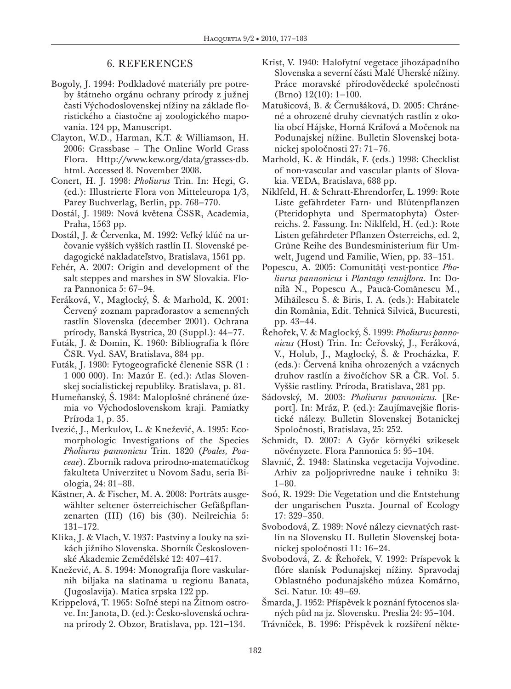# 6. References

- Bogoly, J. 1994: Podkladové materiály pre potreby štátneho orgánu ochrany prírody z južnej časti Východoslovenskej nížiny na základe floristického a čiastočne aj zoologického mapovania. 124 pp, Manuscript.
- Clayton, W.D., Harman, K.T. & Williamson, H. 2006: Grassbase – The Online World Grass Flora. Http://www.kew.org/data/grasses-db. html. Accessed 8. November 2008.
- Conert, H. J. 1998: *Pholiurus* Trin. In: Hegi, G. (ed.): Illustrierte Flora von Mitteleuropa 1/3, Parey Buchverlag, Berlin, pp. 768–770.
- Dostál, J. 1989: Nová květena ČSSR, Academia, Praha, 1563 pp.
- Dostál, J. & Červenka, M. 1992: Veľký kľúč na určovanie vyšších vyšších rastlín II. Slovenské pedagogické nakladateľstvo, Bratislava, 1561 pp.
- Fehér, A. 2007: Origin and development of the salt steppes and marshes in SW Slovakia. Flora Pannonica 5: 67–94.
- Feráková, V., Maglocký, Š. & Marhold, K. 2001: Červený zoznam papraďorastov a semenných rastlín Slovenska (december 2001). Ochrana prírody, Banská Bystrica, 20 (Suppl.): 44–77.
- Futák, J. & Domin, K. 1960: Bibliografia k flóre ČSR. Vyd. SAV, Bratislava, 884 pp.
- Futák, J. 1980: Fytogeografické členenie SSR (1 : 1 000 000). In: Mazúr E. (ed.): Atlas Slovenskej socialistickej republiky. Bratislava, p. 81.
- Humeňanský, Š. 1984: Maloplošné chránené územia vo Východoslovenskom kraji. Pamiatky Príroda 1, p. 35.
- Ivezić, J., Merkulov, L. & Knežević, A. 1995: Ecomorphologic Investigations of the Species *Pholiurus pannonicus* Trin. 1820 (*Poales, Poaceae*). Zbornik radova prirodno-matematičkog fakulteta Univerzitet u Novom Sadu, seria Biologia, 24: 81–88.
- Kästner, A. & Fischer, M. A. 2008: Porträts ausgewählter seltener österreichischer Gefäßpflanzenarten (III) (16) bis (30). Neilreichia 5: 131–172.
- Klika, J. & Vlach, V. 1937: Pastviny a louky na szikách jižního Slovenska. Sborník Československé Akademie Zemědělské 12: 407–417.
- Knežević, A. S. 1994: Monografija flore vaskularnih biljaka na slatinama u regionu Banata, (Jugoslavija). Matica srpska 122 pp.
- Krippelová, T. 1965: Soľné stepi na Žitnom ostrove. In: Janota, D. (ed.): Česko-slovenská ochrana prírody 2. Obzor, Bratislava, pp. 121–134.
- Krist, V. 1940: Halofytní vegetace jihozápadního Slovenska a severní části Malé Uherské nížiny. Práce moravské přírodovědecké společnosti (Brno) 12(10): 1–100.
- Matušicová, B. & Černušáková, D. 2005: Chránené a ohrozené druhy cievnatých rastlín z okolia obcí Hájske, Horná Kráľová a Močenok na Podunajskej nížine. Bulletin Slovenskej botanickej spoločnosti 27: 71–76.
- Marhold, K. & Hindák, F. (eds.) 1998: Checklist of non-vascular and vascular plants of Slovakia. VEDA, Bratislava, 688 pp.
- Niklfeld, H. & Schratt-Ehrendorfer, L. 1999: Rote Liste gefährdeter Farn- und Blütenpflanzen (Pteridophyta und Spermatophyta) Österreichs. 2. Fassung. In: Niklfeld, H. (ed.): Rote Listen gefährdeter Pflanzen Österreichs, ed. 2, Grüne Reihe des Bundesministerium für Umwelt, Jugend und Familie, Wien, pp. 33–151.
- Popescu, A. 2005: Comunităţi vest-pontice *Pholiurus pannonicus* i *Plantago tenuiflora*. In: Doniłă N., Popescu A., Paucă-Comănescu M., Mihăilescu S. & Biris, I. A. (eds.): Habitatele din România, Edit. Tehnică Silvică, Bucuresti, pp. 43–44.
- Řehořek, V. & Maglocký, Š. 1999: *Pholiurus pannonicus* (Host) Trin. In: Čeřovský, J., Feráková, V., Holub, J., Maglocký, Š. & Procházka, F. (eds.): Červená kniha ohrozených a vzácnych druhov rastlín a živočíchov SR a ČR. Vol. 5. Vyššie rastliny. Príroda, Bratislava, 281 pp.
- Sádovský, M. 2003: *Pholiurus pannonicus.* [Report]. In: Mráz, P. (ed.): Zaujímavejšie floristické nálezy. Bulletin Slovenskej Botanickej Spoločnosti, Bratislava, 25: 252.
- Schmidt, D. 2007: A Győr környéki szikesek növényzete. Flora Pannonica 5: 95–104.
- Slavnić, Ž. 1948: Slatinska vegetacija Vojvodine. Arhiv za poljoprivredne nauke i tehniku 3: 1–80.
- Soó, R. 1929: Die Vegetation und die Entstehung der ungarischen Puszta. Journal of Ecology 17: 329–350.
- Svobodová, Z. 1989: Nové nálezy cievnatých rastlín na Slovensku II. Bulletin Slovenskej botanickej spoločnosti 11: 16–24.
- Svobodová, Z. & Řehořek, V. 1992: Príspevok k flóre slanísk Podunajskej nížiny. Spravodaj Oblastného podunajského múzea Komárno, Sci. Natur. 10: 49–69.
- Šmarda, J. 1952: Příspěvek k poznání fytocenos slaných půd na jz. Slovensku. Preslia 24: 95–104.
- Trávníček, B. 1996: Příspěvek k rozšíření někte-